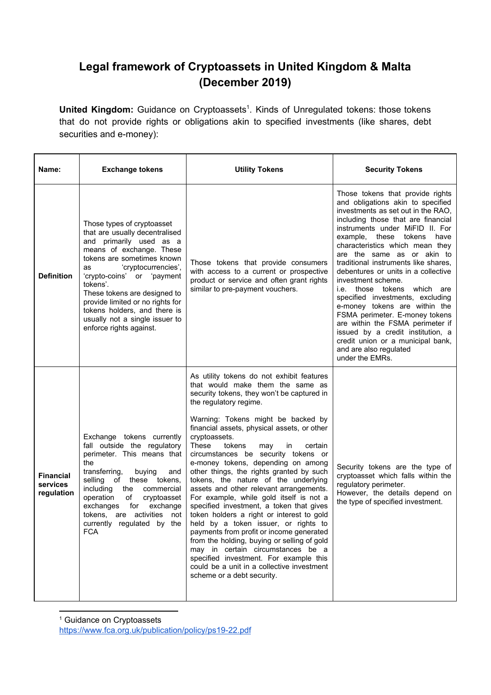## **Legal framework of Cryptoassets in United Kingdom & Malta (December 2019)**

United Kingdom: Guidance on Cryptoassets<sup>1</sup>. Kinds of Unregulated tokens: those tokens that do not provide rights or obligations akin to specified investments (like shares, debt securities and e-money):

| Name:                                      | <b>Exchange tokens</b>                                                                                                                                                                                                                                                                                                                                                                    | <b>Utility Tokens</b>                                                                                                                                                                                                                                                                                                                                                                                                                                                                                                                                                                                                                                                                                                                                                                                                                                                                                                                                | <b>Security Tokens</b>                                                                                                                                                                                                                                                                                                                                                                                                                                                                                                                                                                                                                                                                       |
|--------------------------------------------|-------------------------------------------------------------------------------------------------------------------------------------------------------------------------------------------------------------------------------------------------------------------------------------------------------------------------------------------------------------------------------------------|------------------------------------------------------------------------------------------------------------------------------------------------------------------------------------------------------------------------------------------------------------------------------------------------------------------------------------------------------------------------------------------------------------------------------------------------------------------------------------------------------------------------------------------------------------------------------------------------------------------------------------------------------------------------------------------------------------------------------------------------------------------------------------------------------------------------------------------------------------------------------------------------------------------------------------------------------|----------------------------------------------------------------------------------------------------------------------------------------------------------------------------------------------------------------------------------------------------------------------------------------------------------------------------------------------------------------------------------------------------------------------------------------------------------------------------------------------------------------------------------------------------------------------------------------------------------------------------------------------------------------------------------------------|
| <b>Definition</b>                          | Those types of cryptoasset<br>that are usually decentralised<br>and primarily used as a<br>means of exchange. These<br>tokens are sometimes known<br>'cryptocurrencies',<br>as<br>'crypto-coins' or 'payment<br>tokens'.<br>These tokens are designed to<br>provide limited or no rights for<br>tokens holders, and there is<br>usually not a single issuer to<br>enforce rights against. | Those tokens that provide consumers<br>with access to a current or prospective<br>product or service and often grant rights<br>similar to pre-payment vouchers.                                                                                                                                                                                                                                                                                                                                                                                                                                                                                                                                                                                                                                                                                                                                                                                      | Those tokens that provide rights<br>and obligations akin to specified<br>investments as set out in the RAO,<br>including those that are financial<br>instruments under MiFID II. For<br>example, these tokens<br>have<br>characteristics which mean they<br>are the same as or akin to<br>traditional instruments like shares,<br>debentures or units in a collective<br>investment scheme.<br>i.e. those tokens which are<br>specified investments, excluding<br>e-money tokens are within the<br>FSMA perimeter. E-money tokens<br>are within the FSMA perimeter if<br>issued by a credit institution, a<br>credit union or a municipal bank,<br>and are also regulated<br>under the EMRs. |
| <b>Financial</b><br>services<br>regulation | Exchange tokens currently<br>fall outside the regulatory<br>perimeter. This means that<br>the<br>transferring,<br>buying<br>and<br>selling of these tokens,<br>including the commercial<br>operation<br>cryptoasset<br>of<br>exchanges<br>for<br>exchange<br>tokens, are activities not<br>currently regulated by the<br><b>FCA</b>                                                       | As utility tokens do not exhibit features<br>that would make them the same as<br>security tokens, they won't be captured in<br>the regulatory regime.<br>Warning: Tokens might be backed by<br>financial assets, physical assets, or other<br>cryptoassets.<br>These<br>tokens<br>in<br>certain<br>may<br>circumstances be security tokens or<br>e-money tokens, depending on among<br>other things, the rights granted by such<br>tokens, the nature of the underlying<br>assets and other relevant arrangements.<br>For example, while gold itself is not a<br>specified investment, a token that gives<br>token holders a right or interest to gold<br>held by a token issuer, or rights to<br>payments from profit or income generated<br>from the holding, buying or selling of gold<br>may in certain circumstances be a<br>specified investment. For example this<br>could be a unit in a collective investment<br>scheme or a debt security. | Security tokens are the type of<br>cryptoasset which falls within the<br>regulatory perimeter.<br>However, the details depend on<br>the type of specified investment.                                                                                                                                                                                                                                                                                                                                                                                                                                                                                                                        |

<sup>1</sup> Guidance on Cryptoassets

<https://www.fca.org.uk/publication/policy/ps19-22.pdf>